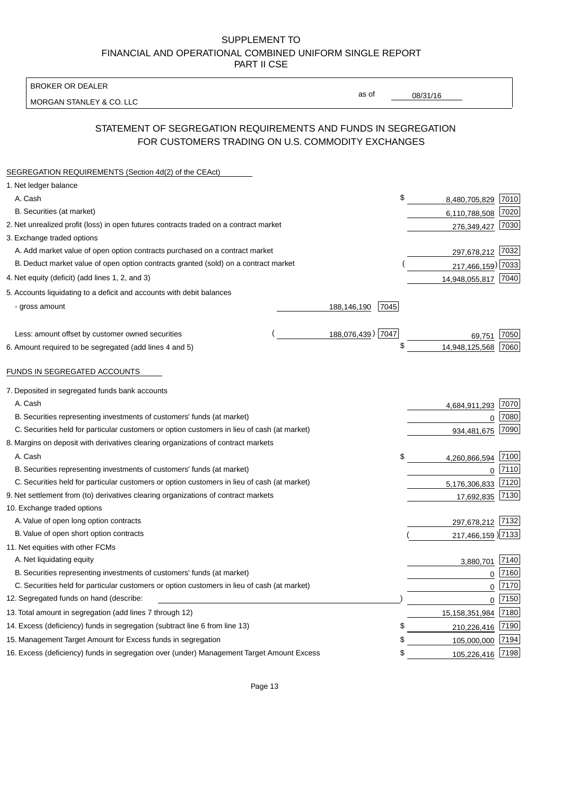BROKER OR DEALER

MORGAN STANLEY & CO. LLC

08/31/16

as of

# STATEMENT OF SEGREGATION REQUIREMENTS AND FUNDS IN SEGREGATION FOR CUSTOMERS TRADING ON U.S. COMMODITY EXCHANGES

| SEGREGATION REQUIREMENTS (Section 4d(2) of the CEAct)                                       |                     |                     |          |
|---------------------------------------------------------------------------------------------|---------------------|---------------------|----------|
| 1. Net ledger balance                                                                       |                     |                     |          |
| A. Cash                                                                                     | \$                  | 8,480,705,829       | 7010     |
| B. Securities (at market)                                                                   |                     | 6,110,788,508       | 7020     |
| 2. Net unrealized profit (loss) in open futures contracts traded on a contract market       |                     | 276,349,427         | 7030     |
| 3. Exchange traded options                                                                  |                     |                     |          |
| A. Add market value of open option contracts purchased on a contract market                 |                     | 297,678,212 7032    |          |
| B. Deduct market value of open option contracts granted (sold) on a contract market         |                     | 217,466,159) 7033   |          |
| 4. Net equity (deficit) (add lines 1, 2, and 3)                                             |                     | 14,948,055,817 7040 |          |
| 5. Accounts liquidating to a deficit and accounts with debit balances                       |                     |                     |          |
| - gross amount                                                                              | 188,146,190<br>7045 |                     |          |
|                                                                                             |                     |                     |          |
| Less: amount offset by customer owned securities                                            | 188,076,439) 7047   | 69,751              | 7050     |
| 6. Amount required to be segregated (add lines 4 and 5)                                     | \$                  | 14,948,125,568      | 7060     |
|                                                                                             |                     |                     |          |
| FUNDS IN SEGREGATED ACCOUNTS                                                                |                     |                     |          |
| 7. Deposited in segregated funds bank accounts                                              |                     |                     |          |
| A. Cash                                                                                     |                     | 4,684,911,293       | 7070     |
| B. Securities representing investments of customers' funds (at market)                      |                     | 0                   | 7080     |
| C. Securities held for particular customers or option customers in lieu of cash (at market) |                     | 934,481,675         | 7090     |
| 8. Margins on deposit with derivatives clearing organizations of contract markets           |                     |                     |          |
| A. Cash                                                                                     | \$                  | 4,260,866,594       | 7100     |
| B. Securities representing investments of customers' funds (at market)                      |                     | $\mathbf 0$         | 7110     |
| C. Securities held for particular customers or option customers in lieu of cash (at market) |                     | 5,176,306,833       | 7120     |
| 9. Net settlement from (to) derivatives clearing organizations of contract markets          |                     | 17,692,835          | 7130     |
| 10. Exchange traded options                                                                 |                     |                     |          |
| A. Value of open long option contracts                                                      |                     | 297,678,212 7132    |          |
| B. Value of open short option contracts                                                     |                     | 217,466,159) 7133   |          |
| 11. Net equities with other FCMs                                                            |                     |                     |          |
| A. Net liquidating equity                                                                   |                     | 3.880.701           | 7140     |
| B. Securities representing investments of customers' funds (at market)                      |                     | $\mathbf 0$         | 7160     |
| C. Securities held for particular customers or option customers in lieu of cash (at market) |                     | $\mathbf 0$         | 7170     |
| 12. Segregated funds on hand (describe:                                                     |                     |                     | $0$ 7150 |
| 13. Total amount in segregation (add lines 7 through 12)                                    |                     | 15,158,351,984 7180 |          |
| 14. Excess (deficiency) funds in segregation (subtract line 6 from line 13)                 | \$                  | 210,226,416         | 7190     |
| 15. Management Target Amount for Excess funds in segregation                                | \$                  | 105,000,000         | 7194     |
| 16. Excess (deficiency) funds in segregation over (under) Management Target Amount Excess   | \$                  | 105,226,416 7198    |          |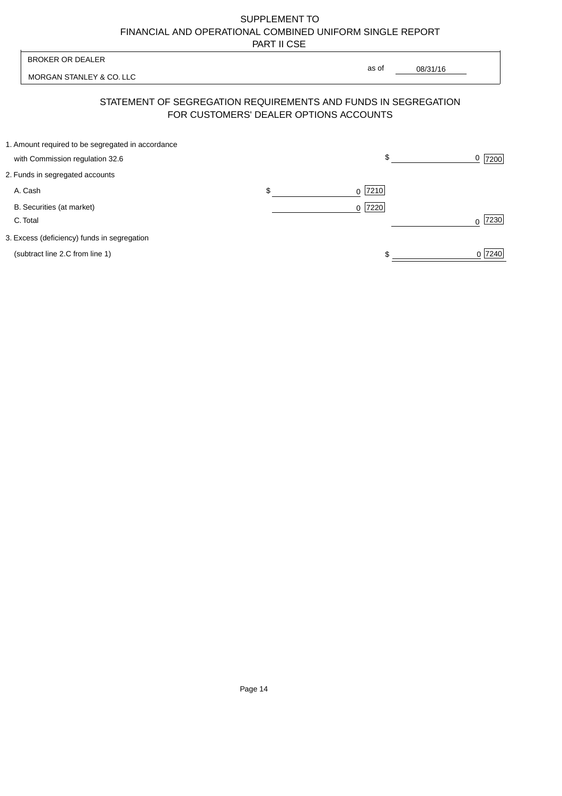| <b>BROKER OR DEALER</b>                                                              | as of                                  |                  |
|--------------------------------------------------------------------------------------|----------------------------------------|------------------|
| MORGAN STANLEY & CO. LLC                                                             |                                        | 08/31/16         |
| STATEMENT OF SEGREGATION REQUIREMENTS AND FUNDS IN SEGREGATION                       | FOR CUSTOMERS' DEALER OPTIONS ACCOUNTS |                  |
| 1. Amount required to be segregated in accordance<br>with Commission regulation 32.6 | \$                                     | 0<br>7200        |
| 2. Funds in segregated accounts                                                      |                                        |                  |
| A. Cash                                                                              | \$<br>7210<br><sup>0</sup>             |                  |
| B. Securities (at market)<br>C. Total                                                | 0 7220                                 | 7230<br>$\Omega$ |
| 3. Excess (deficiency) funds in segregation                                          |                                        |                  |
| (subtract line 2.C from line 1)                                                      |                                        | 0 7240           |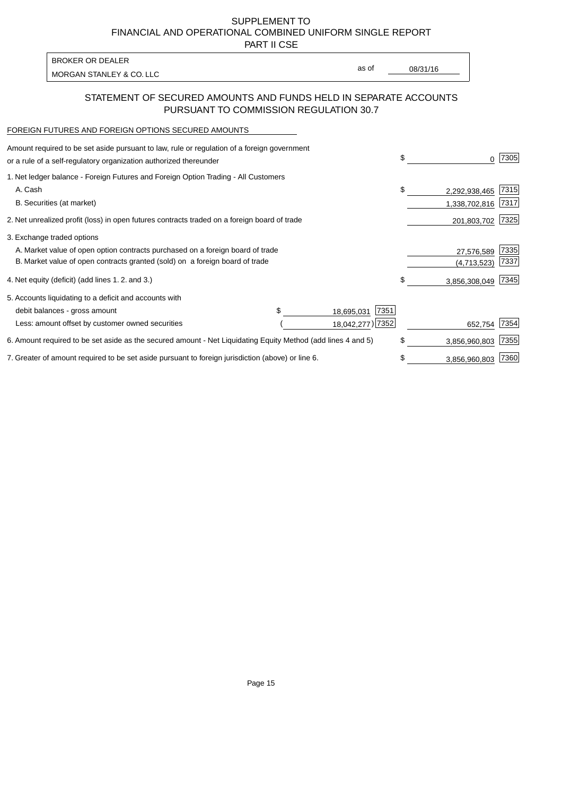PART II CSE

| BROKER OR DEALER         |       |          |
|--------------------------|-------|----------|
| MORGAN STANLEY & CO. LLC | as of | 08/31/16 |
|                          |       |          |

## STATEMENT OF SECURED AMOUNTS AND FUNDS HELD IN SEPARATE ACCOUNTS PURSUANT TO COMMISSION REGULATION 30.7

#### FOREIGN FUTURES AND FOREIGN OPTIONS SECURED AMOUNTS

| Amount required to be set aside pursuant to law, rule or regulation of a foreign government<br>or a rule of a self-regulatory organization authorized thereunder | \$<br>0             | 7305 |
|------------------------------------------------------------------------------------------------------------------------------------------------------------------|---------------------|------|
| 1. Net ledger balance - Foreign Futures and Foreign Option Trading - All Customers                                                                               |                     |      |
| A. Cash                                                                                                                                                          | \$<br>2,292,938,465 | 7315 |
| B. Securities (at market)                                                                                                                                        | 1,338,702,816       | 7317 |
| 2. Net unrealized profit (loss) in open futures contracts traded on a foreign board of trade                                                                     | 201,803,702         | 7325 |
| 3. Exchange traded options                                                                                                                                       |                     |      |
| A. Market value of open option contracts purchased on a foreign board of trade                                                                                   | 27,576,589          | 7335 |
| B. Market value of open contracts granted (sold) on a foreign board of trade                                                                                     | (4,713,523)         | 7337 |
| 4. Net equity (deficit) (add lines 1. 2. and 3.)                                                                                                                 | \$<br>3,856,308,049 | 7345 |
| 5. Accounts liquidating to a deficit and accounts with                                                                                                           |                     |      |
| 7351<br>debit balances - gross amount<br>18,695,031                                                                                                              |                     |      |
| 18,042,277) 7352<br>Less: amount offset by customer owned securities                                                                                             | 652,754             | 7354 |
| 6. Amount required to be set aside as the secured amount - Net Liquidating Equity Method (add lines 4 and 5)                                                     | \$<br>3,856,960,803 | 7355 |
| 7. Greater of amount required to be set aside pursuant to foreign jurisdiction (above) or line 6.                                                                | \$<br>3,856,960,803 | 7360 |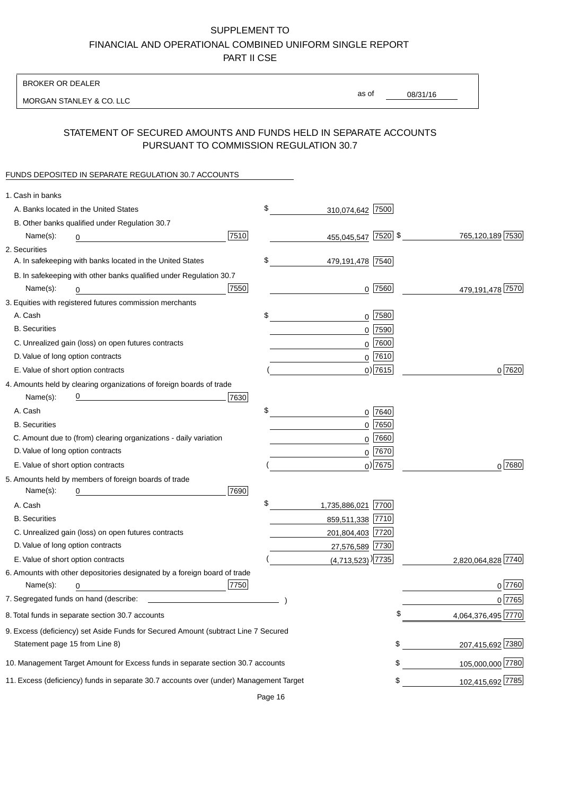BROKER OR DEALER

MORGAN STANLEY & CO. LLC

08/31/16 as of

## STATEMENT OF SECURED AMOUNTS AND FUNDS HELD IN SEPARATE ACCOUNTS PURSUANT TO COMMISSION REGULATION 30.7

#### FUNDS DEPOSITED IN SEPARATE REGULATION 30.7 ACCOUNTS

| 1. Cash in banks                   |                                                                                        |      |                                 |             |                    |
|------------------------------------|----------------------------------------------------------------------------------------|------|---------------------------------|-------------|--------------------|
|                                    | A. Banks located in the United States                                                  |      | \$<br>310,074,642 7500          |             |                    |
|                                    | B. Other banks qualified under Regulation 30.7                                         |      |                                 |             |                    |
| Name(s):                           | 0                                                                                      | 7510 | 455,045,547 7520 \$             |             | 765,120,189 7530   |
| 2. Securities                      |                                                                                        |      |                                 |             |                    |
|                                    | A. In safekeeping with banks located in the United States                              |      | \$<br>479,191,478 7540          |             |                    |
|                                    | B. In safekeeping with other banks qualified under Regulation 30.7                     |      |                                 |             |                    |
| Name(s):                           | 0                                                                                      | 7550 |                                 | $0$ 7560    | 479,191,478 7570   |
|                                    | 3. Equities with registered futures commission merchants                               |      |                                 |             |                    |
| A. Cash                            |                                                                                        |      | \$                              | $0$ 7580    |                    |
| <b>B.</b> Securities               |                                                                                        |      |                                 | $0$ 7590    |                    |
|                                    | C. Unrealized gain (loss) on open futures contracts                                    |      |                                 | $0$ 7600    |                    |
| D. Value of long option contracts  |                                                                                        |      |                                 | $0$ 7610    |                    |
| E. Value of short option contracts |                                                                                        |      |                                 | $0)$ 7615   | 0 7620             |
|                                    | 4. Amounts held by clearing organizations of foreign boards of trade                   |      |                                 |             |                    |
| Name(s):                           |                                                                                        | 7630 |                                 |             |                    |
| A. Cash                            |                                                                                        |      | \$                              | $0$ 7640    |                    |
| <b>B.</b> Securities               |                                                                                        |      |                                 | $0$ 7650    |                    |
|                                    | C. Amount due to (from) clearing organizations - daily variation                       |      |                                 | $0$ 7660    |                    |
| D. Value of long option contracts  |                                                                                        |      |                                 | $0^{7670}$  |                    |
| E. Value of short option contracts |                                                                                        |      |                                 | $_0$ ) 7675 | 0 7680             |
|                                    | 5. Amounts held by members of foreign boards of trade                                  |      |                                 |             |                    |
| Name(s):                           |                                                                                        | 7690 |                                 |             |                    |
| A. Cash                            |                                                                                        |      | \$<br>1,735,886,021             | 7700        |                    |
| <b>B.</b> Securities               |                                                                                        |      | 859,511,338 7710                |             |                    |
|                                    | C. Unrealized gain (loss) on open futures contracts                                    |      | 201,804,403 7720                |             |                    |
| D. Value of long option contracts  |                                                                                        |      | 27,576,589 7730                 |             |                    |
|                                    | E. Value of short option contracts                                                     |      | $(4,713,523)$ <sup>)</sup> 7735 |             | 2,820,064,828 7740 |
|                                    | 6. Amounts with other depositories designated by a foreign board of trade              |      |                                 |             |                    |
| Name(s):                           | 0                                                                                      | 7750 |                                 |             | 0 7760             |
|                                    |                                                                                        |      |                                 |             | 0 7765             |
|                                    | 8. Total funds in separate section 30.7 accounts                                       |      |                                 | ፍ           | 4,064,376,495 7770 |
|                                    | 9. Excess (deficiency) set Aside Funds for Secured Amount (subtract Line 7 Secured     |      |                                 |             |                    |
| Statement page 15 from Line 8)     |                                                                                        |      |                                 | \$          | 207,415,692 7380   |
|                                    | 10. Management Target Amount for Excess funds in separate section 30.7 accounts        |      |                                 | \$          | 105,000,000 7780   |
|                                    | 11. Excess (deficiency) funds in separate 30.7 accounts over (under) Management Target |      |                                 | \$          | 102,415,692 7785   |
|                                    |                                                                                        |      |                                 |             |                    |